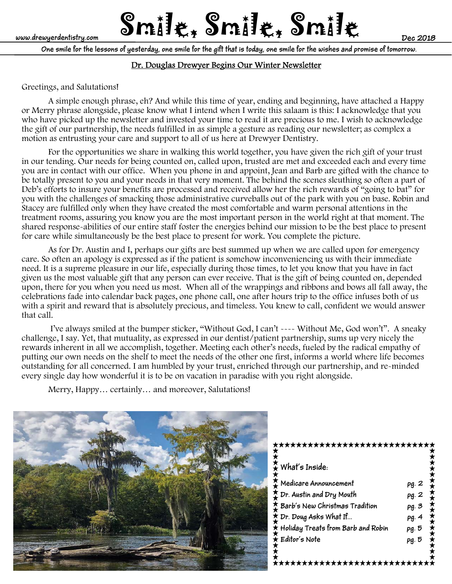# www.drewyerdentistry.com **Smile &** Smill<sub>e</sub> for the smille

**One smile for the lessons of yesterday, one smile for the gift that is today, one smile for the wishes and promise of tomorrow.**

# Dr. Douglas Drewyer Begins Our Winter Newsletter

### Greetings, and Salutations!

 A simple enough phrase, eh? And while this time of year, ending and beginning, have attached a Happy or Merry phrase alongside, please know what I intend when I write this salaam is this: I acknowledge that you who have picked up the newsletter and invested your time to read it are precious to me. I wish to acknowledge the gift of our partnership, the needs fulfilled in as simple a gesture as reading our newsletter; as complex a motion as entrusting your care and support to all of us here at Drewyer Dentistry.

For the opportunities we share in walking this world together, you have given the rich gift of your trust in our tending. Our needs for being counted on, called upon, trusted are met and exceeded each and every time you are in contact with our office. When you phone in and appoint, Jean and Barb are gifted with the chance to be totally present to you and your needs in that very moment. The behind the scenes sleuthing so often a part of Deb's efforts to insure your benefits are processed and received allow her the rich rewards of "going to bat" for you with the challenges of smacking those administrative curveballs out of the park with you on base. Robin and Stacey are fulfilled only when they have created the most comfortable and warm personal attentions in the treatment rooms, assuring you know you are the most important person in the world right at that moment. The shared response-abilities of our entire staff foster the energies behind our mission to be the best place to present for care while simultaneously be the best place to present for work. You complete the picture.

As for Dr. Austin and I, perhaps our gifts are best summed up when we are called upon for emergency care. So often an apology is expressed as if the patient is somehow inconveniencing us with their immediate need. It is a supreme pleasure in our life, especially during those times, to let you know that you have in fact given us the most valuable gift that any person can ever receive. That is the gift of being counted on, depended upon, there for you when you need us most. When all of the wrappings and ribbons and bows all fall away, the celebrations fade into calendar back pages, one phone call, one after hours trip to the office infuses both of us with a spirit and reward that is absolutely precious, and timeless. You knew to call, confident we would answer that call.

 I've always smiled at the bumper sticker, "Without God, I can't ---- Without Me, God won't". A sneaky challenge, I say. Yet, that mutuality, as expressed in our dentist/patient partnership, sums up very nicely the rewards inherent in all we accomplish, together. Meeting each other's needs, fueled by the radical empathy of putting our own needs on the shelf to meet the needs of the other one first, informs a world where life becomes outstanding for all concerned. I am humbled by your trust, enriched through our partnership, and re-minded every single day how wonderful it is to be on vacation in paradise with you right alongside.

Merry, Happy… certainly… and moreover, Salutations!



# \*\*\*\*\*\*\*\*\*\*\*\*\*\*\*\*\*\*\*\*\*\*\* **What's Inside:**  Medicare Announcement pg. 2 **Dr. Austin and Dry Mouth pg. 2 Barb's New Christmas Tradition pg. 3 Dr. Doug Asks What If… pg. 4 Holiday Treats from Barb and Robin pg. 5 Editor's Note pg. 5** \*<br>\*\*\*\*\*\*\*\*\*\*\*\*\*\*\*\*\*\*\*\*\*\*\*\*\*\*\*\*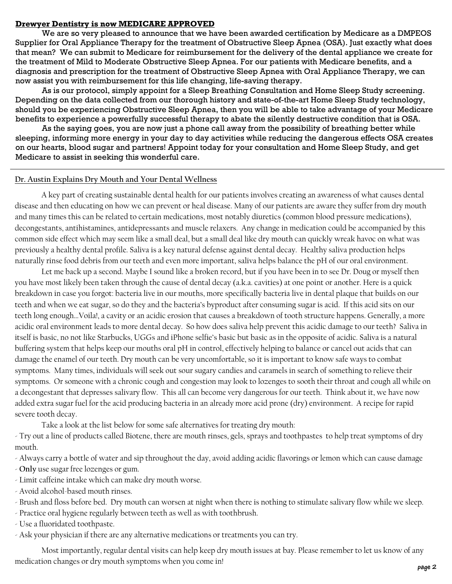#### **Drewyer Dentistry is now MEDICARE APPROVED**

 We are so very pleased to announce that we have been awarded certification by Medicare as a DMPEOS Supplier for Oral Appliance Therapy for the treatment of Obstructive Sleep Apnea (OSA). Just exactly what does that mean? We can submit to Medicare for reimbursement for the delivery of the dental appliance we create for the treatment of Mild to Moderate Obstructive Sleep Apnea. For our patients with Medicare benefits, and a diagnosis and prescription for the treatment of Obstructive Sleep Apnea with Oral Appliance Therapy, we can now assist you with reimbursement for this life changing, life-saving therapy.

 As is our protocol, simply appoint for a Sleep Breathing Consultation and Home Sleep Study screening. Depending on the data collected from our thorough history and state-of-the-art Home Sleep Study technology, should you be experiencing Obstructive Sleep Apnea, then you will be able to take advantage of your Medicare benefits to experience a powerfully successful therapy to abate the silently destructive condition that is OSA.

 As the saying goes, you are now just a phone call away from the possibility of breathing better while sleeping, informing more energy in your day to day activities while reducing the dangerous effects OSA creates on our hearts, blood sugar and partners! Appoint today for your consultation and Home Sleep Study, and get Medicare to assist in seeking this wonderful care.

#### **Dr. Austin Explains Dry Mouth and Your Dental Wellness**

A key part of creating sustainable dental health for our patients involves creating an awareness of what causes dental disease and then educating on how we can prevent or heal disease. Many of our patients are aware they suffer from dry mouth and many times this can be related to certain medications, most notably diuretics (common blood pressure medications), decongestants, antihistamines, antidepressants and muscle relaxers. Any change in medication could be accompanied by this common side effect which may seem like a small deal, but a small deal like dry mouth can quickly wreak havoc on what was previously a healthy dental profile. Saliva is a key natural defense against dental decay. Healthy saliva production helps naturally rinse food debris from our teeth and even more important, saliva helps balance the pH of our oral environment.

 Let me back up a second. Maybe I sound like a broken record, but if you have been in to see Dr. Doug or myself then you have most likely been taken through the cause of dental decay (a.k.a. cavities) at one point or another. Here is a quick breakdown in case you forgot: bacteria live in our mouths, more specifically bacteria live in dental plaque that builds on our teeth and when we eat sugar, so do they and the bacteria's byproduct after consuming sugar is acid. If this acid sits on our teeth long enough…Voila!, a cavity or an acidic erosion that causes a breakdown of tooth structure happens. Generally, a more acidic oral environment leads to more dental decay. So how does saliva help prevent this acidic damage to our teeth? Saliva in itself is basic, no not like Starbucks, UGGs and iPhone selfie's basic but basic as in the opposite of acidic. Saliva is a natural buffering system that helps keep our mouths oral pH in control, effectively helping to balance or cancel out acids that can damage the enamel of our teeth. Dry mouth can be very uncomfortable, so it is important to know safe ways to combat symptoms. Many times, individuals will seek out sour sugary candies and caramels in search of something to relieve their symptoms. Or someone with a chronic cough and congestion may look to lozenges to sooth their throat and cough all while on a decongestant that depresses salivary flow. This all can become very dangerous for our teeth. Think about it, we have now added extra sugar fuel for the acid producing bacteria in an already more acid prone (dry) environment. A recipe for rapid severe tooth decay.

Take a look at the list below for some safe alternatives for treating dry mouth:

- Try out a line of products called Biotene, there are mouth rinses, gels, sprays and toothpastes to help treat symptoms of dry mouth.

- Always carry a bottle of water and sip throughout the day, avoid adding acidic flavorings or lemon which can cause damage

- **Only** use sugar free lozenges or gum.
- Limit caffeine intake which can make dry mouth worse.
- Avoid alcohol-based mouth rinses.
- Brush and floss before bed. Dry mouth can worsen at night when there is nothing to stimulate salivary flow while we sleep.
- Practice oral hygiene regularly between teeth as well as with toothbrush.
- Use a fluoridated toothpaste.
- Ask your physician if there are any alternative medications or treatments you can try.

 Most importantly, regular dental visits can help keep dry mouth issues at bay. Please remember to let us know of any medication changes or dry mouth symptoms when you come in!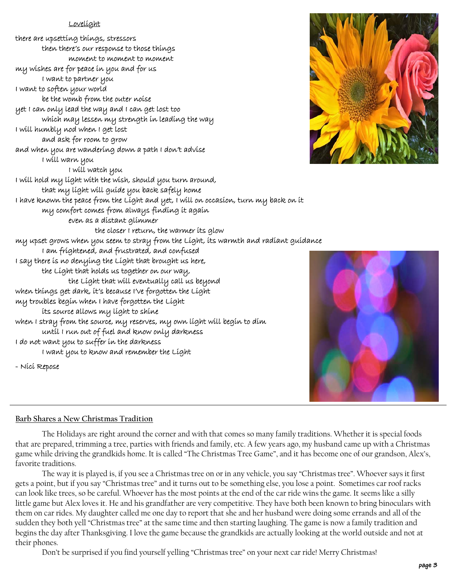#### Lovelight

there are upsetting things, stressors then there's our response to those things moment to moment to moment my wishes are for peace in you and for us I want to partner you I want to soften your world be the womb from the outer noise yet I can only lead the way and I can get lost too which may lessen my strength in leading the way I will humbly nod when I get lost and ask for room to grow and when you are wandering down a path I don't advise I will warn you I will watch you I will hold my light with the wish, should you turn around, that my light will guide you back safely home I have known the peace from the Light and yet, I will on occasion, turn my back on it my comfort comes from always finding it again even as a distant glimmer the closer I return, the warmer its glow my upset grows when you seem to stray from the Light, its warmth and radiant guidance I am frightened, and frustrated, and confused I say there is no denying the Light that brought us here, the Light that holds us together on our way, the Light that will eventually call us beyond when things get dark, it's because I've forgotten the Light my troubles begin when I have forgotten the Light its source allows my light to shine when I stray from the source, my reserves, my own light will begin to dim until I run out of fuel and know only darkness I do not want you to suffer in the darkness I want you to know and remember the Light - Nici Repose





#### **Barb Shares a New Christmas Tradition**

 The Holidays are right around the corner and with that comes so many family traditions. Whether it is special foods that are prepared, trimming a tree, parties with friends and family, etc. A few years ago, my husband came up with a Christmas game while driving the grandkids home. It is called "The Christmas Tree Game", and it has become one of our grandson, Alex's, favorite traditions.

 The way it is played is, if you see a Christmas tree on or in any vehicle, you say "Christmas tree". Whoever says it first gets a point, but if you say "Christmas tree" and it turns out to be something else, you lose a point. Sometimes car roof racks can look like trees, so be careful. Whoever has the most points at the end of the car ride wins the game. It seems like a silly little game but Alex loves it. He and his grandfather are very competitive. They have both been known to bring binoculars with them on car rides. My daughter called me one day to report that she and her husband were doing some errands and all of the sudden they both yell "Christmas tree" at the same time and then starting laughing. The game is now a family tradition and begins the day after Thanksgiving. I love the game because the grandkids are actually looking at the world outside and not at their phones.

Don't be surprised if you find yourself yelling "Christmas tree" on your next car ride! Merry Christmas!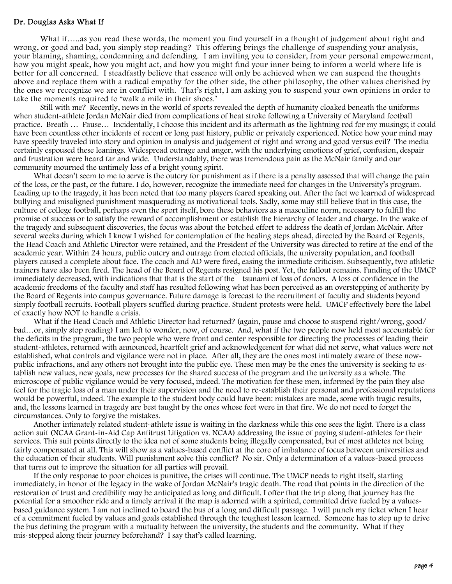#### Dr. Douglas Asks What If

 What if…..as you read these words, the moment you find yourself in a thought of judgement about right and wrong, or good and bad, you simply stop reading? This offering brings the challenge of suspending your analysis, your blaming, shaming, condemning and defending. I am inviting you to consider, from your personal empowerment, how you might speak, how you might act, and how you might find your inner being to inform a world where life is better for all concerned. I steadfastly believe that essence will only be achieved when we can suspend the thoughts above and replace them with a radical empathy for the other side, the other philosophy, the other values cherished by the ones we recognize we are in conflict with. That's right, I am asking you to suspend your own opinions in order to take the moments required to 'walk a mile in their shoes.'

 Still with me? Recently, news in the world of sports revealed the depth of humanity cloaked beneath the uniforms when student-athlete Jordan McNair died from complications of heat stroke following a University of Maryland football practice. Breath … Pause… Incidentally, I choose this incident and its aftermath as the lightning rod for my musings; it could have been countless other incidents of recent or long past history, public or privately experienced. Notice how your mind may have speedily traveled into story and opinion in analysis and judgement of right and wrong and good versus evil? The media certainly espoused these leanings. Widespread outrage and anger, with the underlying emotions of grief, confusion, despair and frustration were heard far and wide. Understandably, there was tremendous pain as the McNair family and our community mourned the untimely loss of a bright young spirit.

What doesn't seem to me to serve is the outcry for punishment as if there is a penalty assessed that will change the pain of the loss, or the past, or the future. I do, however, recognize the immediate need for changes in the University's program. Leading up to the tragedy, it has been noted that too many players feared speaking out. After the fact we learned of widespread bullying and misaligned punishment masquerading as motivational tools. Sadly, some may still believe that in this case, the culture of college football, perhaps even the sport itself, bore these behaviors as a masculine norm, necessary to fulfill the promise of success or to satisfy the reward of accomplishment or establish the hierarchy of leader and charge. In the wake of the tragedy and subsequent discoveries, the focus was about the botched effort to address the death of Jordan McNair. After several weeks during which I know I wished for contemplation of the healing steps ahead, directed by the Board of Regents, the Head Coach and Athletic Director were retained, and the President of the University was directed to retire at the end of the academic year. Within 24 hours, public outcry and outrage from elected officials, the university population, and football players caused a complete about face. The coach and AD were fired, easing the immediate criticism. Subsequently, two athletic trainers have also been fired. The head of the Board of Regents resigned his post. Yet, the fallout remains. Funding of the UMCP immediately decreased, with indications that that is the start of the tsunami of loss of donors. A loss of confidence in the academic freedoms of the faculty and staff has resulted following what has been perceived as an overstepping of authority by the Board of Regents into campus governance. Future damage is forecast to the recruitment of faculty and students beyond simply football recruits. Football players scuffled during practice. Student protests were held. UMCP effectively bore the label of exactly how NOT to handle a crisis.

What if the Head Coach and Athletic Director had returned? (again, pause and choose to suspend right/wrong, good/ bad…or, simply stop reading) I am left to wonder, now, of course. And, what if the two people now held most accountable for the deficits in the program, the two people who were front and center responsible for directing the processes of leading their student-athletes, returned with announced, heartfelt grief and acknowledgement for what did not serve, what values were not established, what controls and vigilance were not in place. After all, they are the ones most intimately aware of these nowpublic infractions, and any others not brought into the public eye. These men may be the ones the university is seeking to establish new values, new goals, new processes for the shared success of the program and the university as a whole. The microscope of public vigilance would be very focused, indeed. The motivation for these men, informed by the pain they also feel for the tragic loss of a man under their supervision and the need to re-establish their personal and professional reputations would be powerful, indeed. The example to the student body could have been: mistakes are made, some with tragic results, and, the lessons learned in tragedy are best taught by the ones whose feet were in that fire. We do not need to forget the circumstances. Only to forgive the mistakes.

Another intimately related student-athlete issue is waiting in the darkness while this one sees the light. There is a class action suit (NCAA Grant-in-Aid Cap Antitrust Litigation vs. NCAA) addressing the issue of paying student-athletes for their services. This suit points directly to the idea not of some students being illegally compensated, but of most athletes not being fairly compensated at all. This will show as a values-based conflict at the core of imbalance of focus between universities and the education of their students. Will punishment solve this conflict? No sir. Only a determination of a values-based process that turns out to improve the situation for all parties will prevail.

If the only response to poor choices is punitive, the crises will continue. The UMCP needs to right itself, starting immediately, in honor of the legacy in the wake of Jordan McNair's tragic death. The road that points in the direction of the restoration of trust and credibility may be anticipated as long and difficult. I offer that the trip along that journey has the potential for a smoother ride and a timely arrival if the map is adorned with a spirited, committed drive fueled by a valuesbased guidance system. I am not inclined to board the bus of a long and difficult passage. I will punch my ticket when I hear of a commitment fueled by values and goals established through the toughest lesson learned. Someone has to step up to drive the bus defining the program with a mutuality between the university, the students and the community. What if they mis-stepped along their journey beforehand? I say that's called learning.